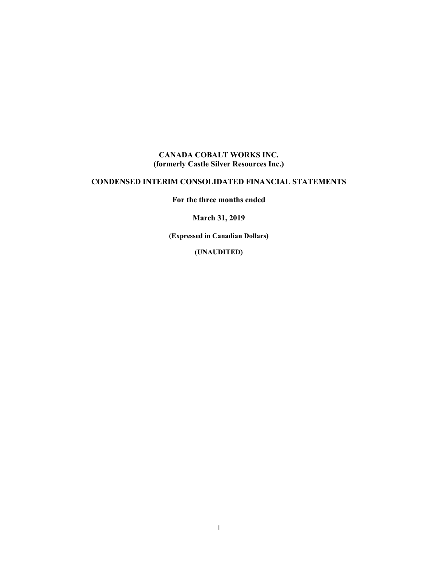#### **CANADA COBALT WORKS INC. (formerly Castle Silver Resources Inc.)**

#### **CONDENSED INTERIM CONSOLIDATED FINANCIAL STATEMENTS**

**For the three months ended** 

**March 31, 2019** 

**(Expressed in Canadian Dollars)** 

**(UNAUDITED)**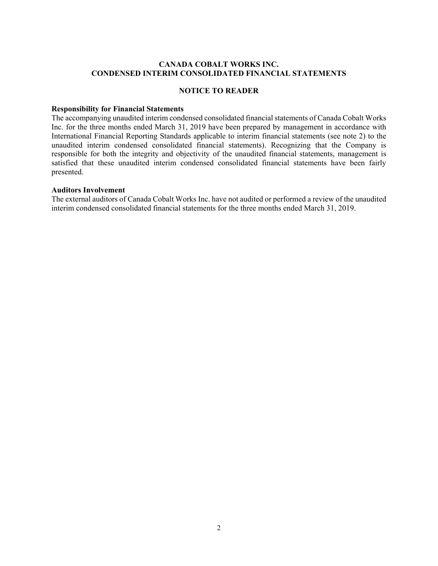#### **CANADA COBALT WORKS INC. CONDENSED INTERIM CONSOLIDATED FINANCIAL STATEMENTS**

#### **NOTICE TO READER**

#### **Responsibility for Financial Statements**

The accompanying unaudited interim condensed consolidated financial statements of Canada Cobalt Works Inc. for the three months ended March 31, 2019 have been prepared by management in accordance with International Financial Reporting Standards applicable to interim financial statements (see note 2) to the unaudited interim condensed consolidated financial statements). Recognizing that the Company is responsible for both the integrity and objectivity of the unaudited financial statements, management is satisfied that these unaudited interim condensed consolidated financial statements have been fairly presented.

#### **Auditors Involvement**

The external auditors of Canada Cobalt Works Inc. have not audited or performed a review of the unaudited interim condensed consolidated financial statements for the three months ended March 31, 2019.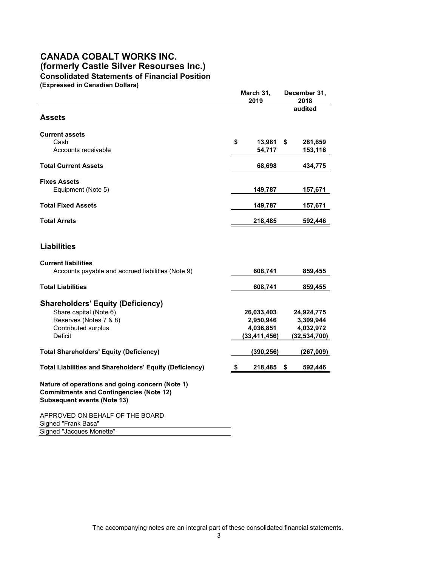#### **CANADA COBALT WORKS INC. (formerly Castle Silver Resourses Inc.) Consolidated Statements of Financial Position (Expressed in Canadian Dollars)**

|                                                                                                                                         | March 31,<br>2019 | December 31,<br>2018 |                |  |
|-----------------------------------------------------------------------------------------------------------------------------------------|-------------------|----------------------|----------------|--|
| <b>Assets</b>                                                                                                                           |                   |                      | audited        |  |
| <b>Current assets</b>                                                                                                                   |                   |                      |                |  |
| Cash                                                                                                                                    | \$<br>$13,981$ \$ |                      | 281,659        |  |
| Accounts receivable                                                                                                                     | 54,717            |                      | 153,116        |  |
| <b>Total Current Assets</b>                                                                                                             | 68,698            |                      | 434,775        |  |
| <b>Fixes Assets</b>                                                                                                                     |                   |                      |                |  |
| Equipment (Note 5)                                                                                                                      | 149,787           |                      | 157,671        |  |
| <b>Total Fixed Assets</b>                                                                                                               | 149,787           |                      | 157,671        |  |
| <b>Total Arrets</b>                                                                                                                     | 218,485           |                      | 592,446        |  |
| <b>Liabilities</b>                                                                                                                      |                   |                      |                |  |
| <b>Current liabilities</b>                                                                                                              |                   |                      |                |  |
| Accounts payable and accrued liabilities (Note 9)                                                                                       | 608,741           |                      | 859,455        |  |
| <b>Total Liabilities</b>                                                                                                                | 608,741           |                      | 859,455        |  |
| <b>Shareholders' Equity (Deficiency)</b>                                                                                                |                   |                      |                |  |
| Share capital (Note 6)                                                                                                                  | 26,033,403        |                      | 24,924,775     |  |
| Reserves (Notes 7 & 8)                                                                                                                  | 2,950,946         |                      | 3,309,944      |  |
| <b>Contributed surplus</b>                                                                                                              | 4,036,851         |                      | 4,032,972      |  |
| Deficit                                                                                                                                 | (33, 411, 456)    |                      | (32, 534, 700) |  |
| <b>Total Shareholders' Equity (Deficiency)</b>                                                                                          | (390, 256)        |                      | (267,009)      |  |
| <b>Total Liabilities and Shareholders' Equity (Deficiency)</b>                                                                          | \$<br>218,485     | \$                   | 592,446        |  |
| Nature of operations and going concern (Note 1)<br><b>Commitments and Contingencies (Note 12)</b><br><b>Subsequent events (Note 13)</b> |                   |                      |                |  |
| APPROVED ON BEHALF OF THE BOARD<br>Signed "Frank Basa"                                                                                  |                   |                      |                |  |
| Signed "Jacques Monette"                                                                                                                |                   |                      |                |  |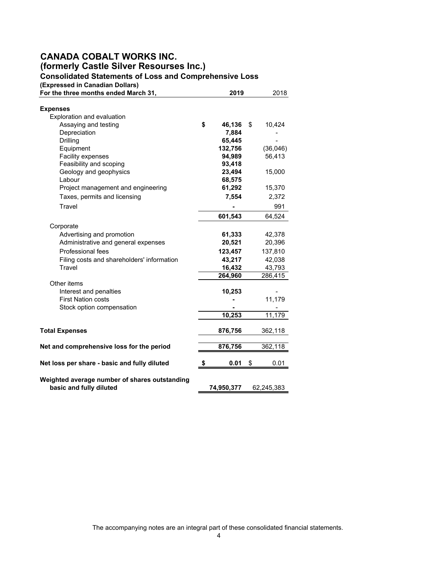# **CANADA COBALT WORKS INC. (formerly Castle Silver Resourses Inc.)**

**Consolidated Statements of Loss and Comprehensive Loss**

**(Expressed in Canadian Dollars)**

| For the three months ended March 31,                 | 2019              | 2018              |  |
|------------------------------------------------------|-------------------|-------------------|--|
| <b>Expenses</b>                                      |                   |                   |  |
| Exploration and evaluation                           |                   |                   |  |
| Assaying and testing                                 | \$<br>46,136      | \$<br>10,424      |  |
| Depreciation                                         | 7,884             |                   |  |
| Drilling                                             | 65,445            |                   |  |
| Equipment                                            | 132,756           | (36,046)          |  |
| Facility expenses                                    | 94,989            | 56,413            |  |
| Feasibility and scoping                              | 93,418            |                   |  |
| Geology and geophysics                               | 23,494            | 15,000            |  |
| Labour                                               | 68,575            |                   |  |
| Project management and engineering                   | 61,292            | 15,370            |  |
| Taxes, permits and licensing                         | 7,554             | 2,372             |  |
| Travel                                               |                   | 991               |  |
|                                                      | 601,543           | 64,524            |  |
| Corporate                                            |                   |                   |  |
| Advertising and promotion                            | 61,333            | 42,378            |  |
| Administrative and general expenses                  | 20,521            | 20,396            |  |
| Professional fees                                    | 123,457           | 137,810           |  |
|                                                      | 43,217            |                   |  |
| Filing costs and shareholders' information<br>Travel |                   | 42,038            |  |
|                                                      | 16,432<br>264,960 | 43,793<br>286,415 |  |
| Other items                                          |                   |                   |  |
| Interest and penalties                               | 10,253            |                   |  |
| <b>First Nation costs</b>                            |                   | 11,179            |  |
| Stock option compensation                            |                   |                   |  |
|                                                      | 10,253            | 11,179            |  |
|                                                      |                   |                   |  |
| <b>Total Expenses</b>                                | 876,756           | 362,118           |  |
| Net and comprehensive loss for the period            | 876,756           | 362,118           |  |
|                                                      |                   |                   |  |
| Net loss per share - basic and fully diluted         | \$<br>0.01        | \$<br>0.01        |  |
| Weighted average number of shares outstanding        |                   |                   |  |
| basic and fully diluted                              | 74,950,377        | 62,245,383        |  |

The accompanying notes are an integral part of these consolidated financial statements.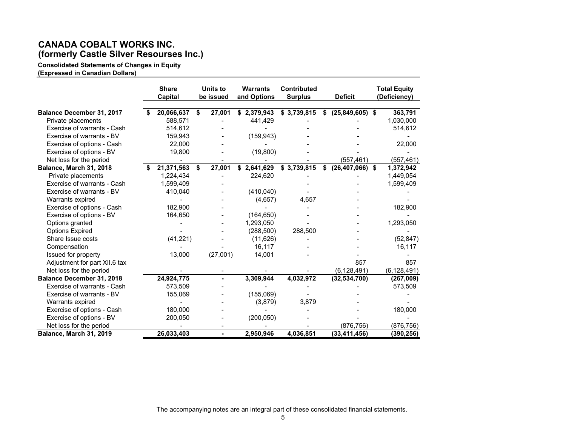## **CANADA COBALT WORKS INC. (formerly Castle Silver Resourses Inc.)**

**Consolidated Statements of Changes in Equity (Expressed in Canadian Dollars)** 

|                                  | <b>Share</b><br>Capital |    | Units to<br>be issued | <b>Warrants</b><br>and Options | <b>Contributed</b><br><b>Surplus</b> |    | <b>Deficit</b>    | <b>Total Equity</b><br>(Deficiency) |
|----------------------------------|-------------------------|----|-----------------------|--------------------------------|--------------------------------------|----|-------------------|-------------------------------------|
| Balance December 31, 2017        | 20,066,637              | S  | 27,001                | \$2,379,943                    | \$3,739,815                          | S  | $(25,849,605)$ \$ | 363,791                             |
| Private placements               | 588,571                 |    |                       | 441,429                        |                                      |    |                   | 1,030,000                           |
| Exercise of warrants - Cash      | 514,612                 |    |                       |                                |                                      |    |                   | 514,612                             |
| Exercise of warrants - BV        | 159,943                 |    |                       | (159, 943)                     |                                      |    |                   |                                     |
| Exercise of options - Cash       | 22,000                  |    |                       |                                |                                      |    |                   | 22,000                              |
| Exercise of options - BV         | 19,800                  |    |                       | (19,800)                       |                                      |    |                   |                                     |
| Net loss for the period          |                         |    |                       |                                |                                      |    | (557, 461)        | (557,461)                           |
| Balance, March 31, 2018          | 21,371,563              | \$ | 27,001                | \$2,641,629                    | \$3,739,815                          | \$ | $(26,407,066)$ \$ | 1,372,942                           |
| Private placements               | 1,224,434               |    |                       | 224,620                        |                                      |    |                   | 1,449,054                           |
| Exercise of warrants - Cash      | 1,599,409               |    |                       |                                |                                      |    |                   | 1,599,409                           |
| Exercise of warrants - BV        | 410,040                 |    |                       | (410, 040)                     |                                      |    |                   |                                     |
| Warrants expired                 |                         |    |                       | (4,657)                        | 4,657                                |    |                   |                                     |
| Exercise of options - Cash       | 182,900                 |    |                       |                                |                                      |    |                   | 182,900                             |
| Exercise of options - BV         | 164,650                 |    |                       | (164, 650)                     |                                      |    |                   |                                     |
| Options granted                  |                         |    |                       | 1,293,050                      |                                      |    |                   | 1,293,050                           |
| <b>Options Expired</b>           |                         |    |                       | (288, 500)                     | 288,500                              |    |                   |                                     |
| Share Issue costs                | (41, 221)               |    |                       | (11,626)                       |                                      |    |                   | (52, 847)                           |
| Compensation                     |                         |    |                       | 16,117                         |                                      |    |                   | 16,117                              |
| Issued for property              | 13,000                  |    | (27,001)              | 14,001                         |                                      |    |                   |                                     |
| Adjustment for part XII.6 tax    |                         |    |                       |                                |                                      |    | 857               | 857                                 |
| Net loss for the period          |                         |    |                       |                                |                                      |    | (6, 128, 491)     | (6, 128, 491)                       |
| <b>Balance December 31, 2018</b> | 24,924,775              |    |                       | 3,309,944                      | 4,032,972                            |    | (32, 534, 700)    | (267,009)                           |
| Exercise of warrants - Cash      | 573,509                 |    |                       |                                |                                      |    |                   | 573,509                             |
| Exercise of warrants - BV        | 155,069                 |    |                       | (155,069)                      |                                      |    |                   |                                     |
| Warrants expired                 |                         |    |                       | (3,879)                        | 3,879                                |    |                   |                                     |
| Exercise of options - Cash       | 180,000                 |    |                       |                                |                                      |    |                   | 180,000                             |
| Exercise of options - BV         | 200,050                 |    |                       | (200, 050)                     |                                      |    |                   |                                     |
| Net loss for the period          |                         |    |                       |                                |                                      |    | (876, 756)        | (876,756)                           |
| Balance, March 31, 2019          | 26,033,403              |    |                       | 2,950,946                      | 4,036,851                            |    | (33, 411, 456)    | (390,256)                           |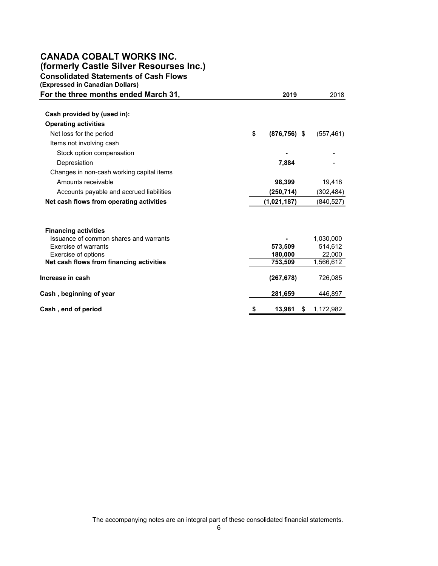# **CANADA COBALT WORKS INC.**

**(formerly Castle Silver Resourses Inc.)**

**Consolidated Statements of Cash Flows**

| (Expressed in Canadian Dollars)           |    |                    |                     |
|-------------------------------------------|----|--------------------|---------------------|
| For the three months ended March 31,      |    | 2019               | 2018                |
|                                           |    |                    |                     |
| Cash provided by (used in):               |    |                    |                     |
| <b>Operating activities</b>               |    |                    |                     |
| Net loss for the period                   | \$ | $(876, 756)$ \$    | (557, 461)          |
| Items not involving cash                  |    |                    |                     |
| Stock option compensation                 |    |                    |                     |
| Depresiation                              |    | 7,884              |                     |
| Changes in non-cash working capital items |    |                    |                     |
| Amounts receivable                        |    | 98,399             | 19,418              |
| Accounts payable and accrued liabilities  |    | (250, 714)         | (302,484)           |
| Net cash flows from operating activities  |    | (1,021,187)        | (840, 527)          |
|                                           |    |                    |                     |
| <b>Financing activities</b>               |    |                    |                     |
| Issuance of common shares and warrants    |    |                    | 1,030,000           |
| <b>Exercise of warrants</b>               |    | 573,509            | 514,612             |
| Exercise of options                       |    | 180.000<br>753,509 | 22,000<br>1,566,612 |
| Net cash flows from financing activities  |    |                    |                     |
| Increase in cash                          |    | (267, 678)         | 726,085             |
| Cash, beginning of year                   |    | 281,659            | 446,897             |
| Cash, end of period                       | 5  | 13,981             | 1,172,982<br>\$     |

The accompanying notes are an integral part of these consolidated financial statements.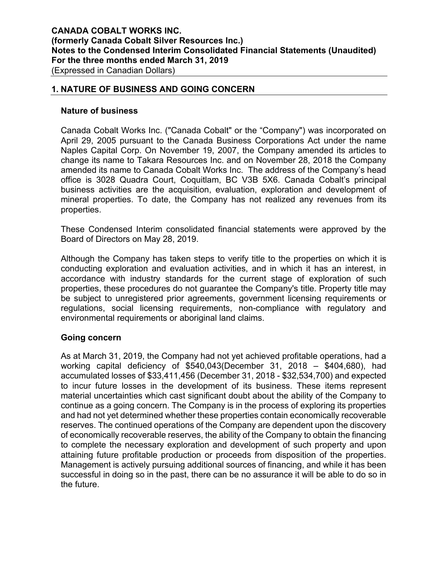#### **1. NATURE OF BUSINESS AND GOING CONCERN**

#### **Nature of business**

Canada Cobalt Works Inc. ("Canada Cobalt" or the "Company") was incorporated on April 29, 2005 pursuant to the Canada Business Corporations Act under the name Naples Capital Corp. On November 19, 2007, the Company amended its articles to change its name to Takara Resources Inc. and on November 28, 2018 the Company amended its name to Canada Cobalt Works Inc. The address of the Company's head office is 3028 Quadra Court, Coquitlam, BC V3B 5X6. Canada Cobalt's principal business activities are the acquisition, evaluation, exploration and development of mineral properties. To date, the Company has not realized any revenues from its properties.

These Condensed Interim consolidated financial statements were approved by the Board of Directors on May 28, 2019.

Although the Company has taken steps to verify title to the properties on which it is conducting exploration and evaluation activities, and in which it has an interest, in accordance with industry standards for the current stage of exploration of such properties, these procedures do not guarantee the Company's title. Property title may be subject to unregistered prior agreements, government licensing requirements or regulations, social licensing requirements, non-compliance with regulatory and environmental requirements or aboriginal land claims.

#### **Going concern**

As at March 31, 2019, the Company had not yet achieved profitable operations, had a working capital deficiency of \$540,043(December 31, 2018 – \$404,680), had accumulated losses of \$33,411,456 (December 31, 2018 - \$32,534,700) and expected to incur future losses in the development of its business. These items represent material uncertainties which cast significant doubt about the ability of the Company to continue as a going concern. The Company is in the process of exploring its properties and had not yet determined whether these properties contain economically recoverable reserves. The continued operations of the Company are dependent upon the discovery of economically recoverable reserves, the ability of the Company to obtain the financing to complete the necessary exploration and development of such property and upon attaining future profitable production or proceeds from disposition of the properties. Management is actively pursuing additional sources of financing, and while it has been successful in doing so in the past, there can be no assurance it will be able to do so in the future.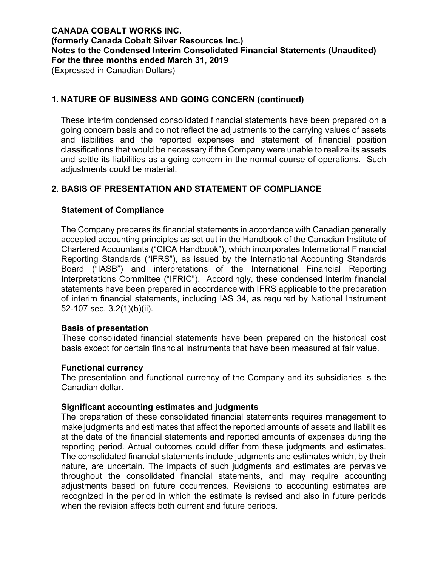### **1. NATURE OF BUSINESS AND GOING CONCERN (continued)**

These interim condensed consolidated financial statements have been prepared on a going concern basis and do not reflect the adjustments to the carrying values of assets and liabilities and the reported expenses and statement of financial position classifications that would be necessary if the Company were unable to realize its assets and settle its liabilities as a going concern in the normal course of operations. Such adjustments could be material.

# **2. BASIS OF PRESENTATION AND STATEMENT OF COMPLIANCE**

### **Statement of Compliance**

The Company prepares its financial statements in accordance with Canadian generally accepted accounting principles as set out in the Handbook of the Canadian Institute of Chartered Accountants ("CICA Handbook"), which incorporates International Financial Reporting Standards ("IFRS"), as issued by the International Accounting Standards Board ("IASB") and interpretations of the International Financial Reporting Interpretations Committee ("IFRIC"). Accordingly, these condensed interim financial statements have been prepared in accordance with IFRS applicable to the preparation of interim financial statements, including IAS 34, as required by National Instrument 52-107 sec. 3.2(1)(b)(ii).

#### **Basis of presentation**

These consolidated financial statements have been prepared on the historical cost basis except for certain financial instruments that have been measured at fair value.

#### **Functional currency**

The presentation and functional currency of the Company and its subsidiaries is the Canadian dollar.

#### **Significant accounting estimates and judgments**

The preparation of these consolidated financial statements requires management to make judgments and estimates that affect the reported amounts of assets and liabilities at the date of the financial statements and reported amounts of expenses during the reporting period. Actual outcomes could differ from these judgments and estimates. The consolidated financial statements include judgments and estimates which, by their nature, are uncertain. The impacts of such judgments and estimates are pervasive throughout the consolidated financial statements, and may require accounting adjustments based on future occurrences. Revisions to accounting estimates are recognized in the period in which the estimate is revised and also in future periods when the revision affects both current and future periods.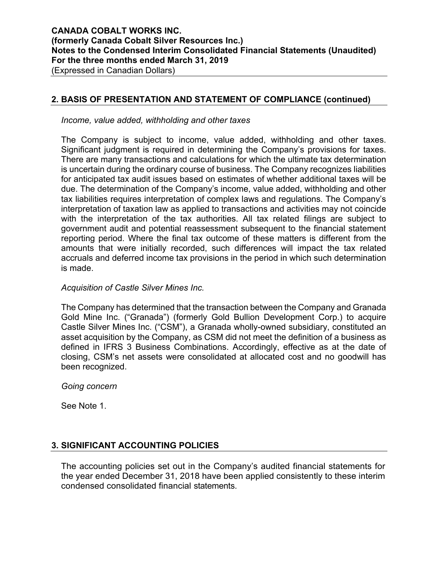## **2. BASIS OF PRESENTATION AND STATEMENT OF COMPLIANCE (continued)**

*Income, value added, withholding and other taxes* 

The Company is subject to income, value added, withholding and other taxes. Significant judgment is required in determining the Company's provisions for taxes. There are many transactions and calculations for which the ultimate tax determination is uncertain during the ordinary course of business. The Company recognizes liabilities for anticipated tax audit issues based on estimates of whether additional taxes will be due. The determination of the Company's income, value added, withholding and other tax liabilities requires interpretation of complex laws and regulations. The Company's interpretation of taxation law as applied to transactions and activities may not coincide with the interpretation of the tax authorities. All tax related filings are subject to government audit and potential reassessment subsequent to the financial statement reporting period. Where the final tax outcome of these matters is different from the amounts that were initially recorded, such differences will impact the tax related accruals and deferred income tax provisions in the period in which such determination is made.

#### *Acquisition of Castle Silver Mines Inc.*

The Company has determined that the transaction between the Company and Granada Gold Mine Inc. ("Granada") (formerly Gold Bullion Development Corp.) to acquire Castle Silver Mines Inc. ("CSM"), a Granada wholly-owned subsidiary, constituted an asset acquisition by the Company, as CSM did not meet the definition of a business as defined in IFRS 3 Business Combinations. Accordingly, effective as at the date of closing, CSM's net assets were consolidated at allocated cost and no goodwill has been recognized.

*Going concern* 

See Note 1.

# **3. SIGNIFICANT ACCOUNTING POLICIES**

The accounting policies set out in the Company's audited financial statements for the year ended December 31, 2018 have been applied consistently to these interim condensed consolidated financial statements.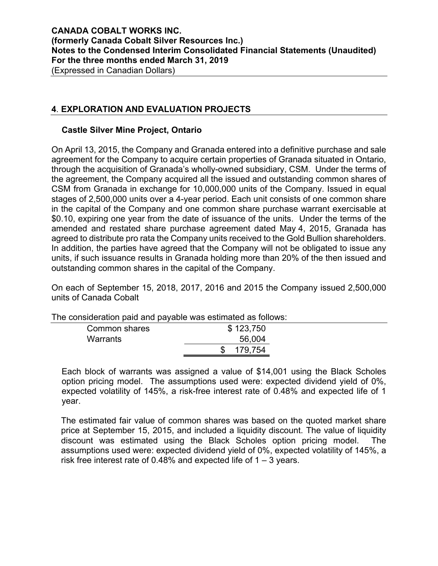## **4**. **EXPLORATION AND EVALUATION PROJECTS**

#### **Castle Silver Mine Project, Ontario**

On April 13, 2015, the Company and Granada entered into a definitive purchase and sale agreement for the Company to acquire certain properties of Granada situated in Ontario, through the acquisition of Granada's wholly-owned subsidiary, CSM. Under the terms of the agreement, the Company acquired all the issued and outstanding common shares of CSM from Granada in exchange for 10,000,000 units of the Company. Issued in equal stages of 2,500,000 units over a 4-year period. Each unit consists of one common share in the capital of the Company and one common share purchase warrant exercisable at \$0.10, expiring one year from the date of issuance of the units. Under the terms of the amended and restated share purchase agreement dated May 4, 2015, Granada has agreed to distribute pro rata the Company units received to the Gold Bullion shareholders. In addition, the parties have agreed that the Company will not be obligated to issue any units, if such issuance results in Granada holding more than 20% of the then issued and outstanding common shares in the capital of the Company.

On each of September 15, 2018, 2017, 2016 and 2015 the Company issued 2,500,000 units of Canada Cobalt

| i ilo considuiduon palu anu payablo was csumatcu as ioliows. |           |  |  |  |  |  |
|--------------------------------------------------------------|-----------|--|--|--|--|--|
| Common shares                                                | \$123,750 |  |  |  |  |  |
| Warrants                                                     | 56,004    |  |  |  |  |  |
|                                                              | 179,754   |  |  |  |  |  |
|                                                              |           |  |  |  |  |  |

The consideration paid and payable was estimated as follows:

Each block of warrants was assigned a value of \$14,001 using the Black Scholes option pricing model. The assumptions used were: expected dividend yield of 0%, expected volatility of 145%, a risk-free interest rate of 0.48% and expected life of 1 year.

The estimated fair value of common shares was based on the quoted market share price at September 15, 2015, and included a liquidity discount. The value of liquidity discount was estimated using the Black Scholes option pricing model. The assumptions used were: expected dividend yield of 0%, expected volatility of 145%, a risk free interest rate of 0.48% and expected life of  $1 - 3$  years.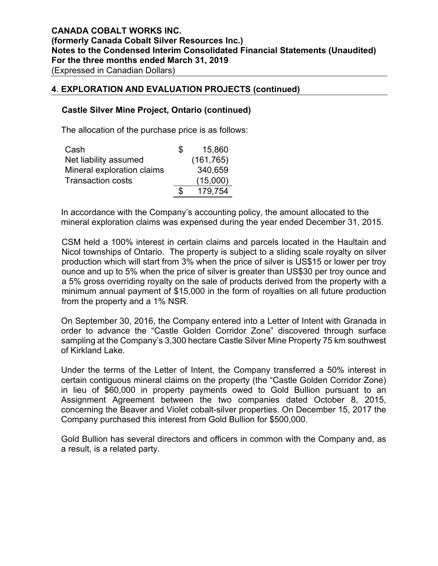#### **4**. **EXPLORATION AND EVALUATION PROJECTS (continued)**

#### **Castle Silver Mine Project, Ontario (continued)**

The allocation of the purchase price is as follows:

| Cash                       | Ж | 15,860     |
|----------------------------|---|------------|
| Net liability assumed      |   | (161, 765) |
| Mineral exploration claims |   | 340,659    |
| <b>Transaction costs</b>   |   | (15,000)   |
|                            |   | 179.754    |

In accordance with the Company's accounting policy, the amount allocated to the mineral exploration claims was expensed during the year ended December 31, 2015.

CSM held a 100% interest in certain claims and parcels located in the Haultain and Nicol townships of Ontario. The property is subject to a sliding scale royalty on silver production which will start from 3% when the price of silver is US\$15 or lower per troy ounce and up to 5% when the price of silver is greater than US\$30 per troy ounce and a 5% gross overriding royalty on the sale of products derived from the property with a minimum annual payment of \$15,000 in the form of royalties on all future production from the property and a 1% NSR.

On September 30, 2016, the Company entered into a Letter of Intent with Granada in order to advance the "Castle Golden Corridor Zone" discovered through surface sampling at the Company's 3,300 hectare Castle Silver Mine Property 75 km southwest of Kirkland Lake.

Under the terms of the Letter of Intent, the Company transferred a 50% interest in certain contiguous mineral claims on the property (the "Castle Golden Corridor Zone) in lieu of \$60,000 in property payments owed to Gold Bullion pursuant to an Assignment Agreement between the two companies dated October 8, 2015, concerning the Beaver and Violet cobalt-silver properties. On December 15, 2017 the Company purchased this interest from Gold Bullion for \$500,000.

Gold Bullion has several directors and officers in common with the Company and, as a result, is a related party.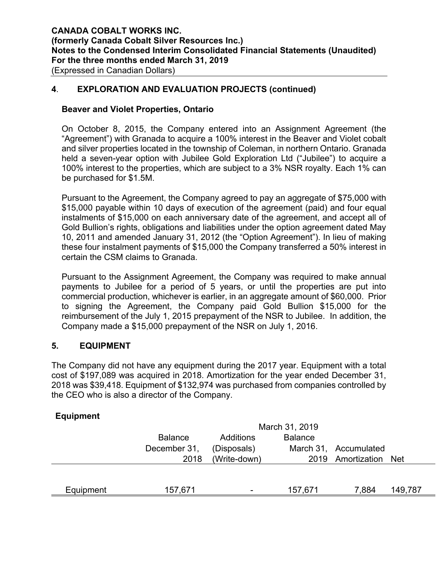#### **4**. **EXPLORATION AND EVALUATION PROJECTS (continued)**

#### **Beaver and Violet Properties, Ontario**

On October 8, 2015, the Company entered into an Assignment Agreement (the "Agreement") with Granada to acquire a 100% interest in the Beaver and Violet cobalt and silver properties located in the township of Coleman, in northern Ontario. Granada held a seven-year option with Jubilee Gold Exploration Ltd ("Jubilee") to acquire a 100% interest to the properties, which are subject to a 3% NSR royalty. Each 1% can be purchased for \$1.5M.

Pursuant to the Agreement, the Company agreed to pay an aggregate of \$75,000 with \$15,000 payable within 10 days of execution of the agreement (paid) and four equal instalments of \$15,000 on each anniversary date of the agreement, and accept all of Gold Bullion's rights, obligations and liabilities under the option agreement dated May 10, 2011 and amended January 31, 2012 (the "Option Agreement"). In lieu of making these four instalment payments of \$15,000 the Company transferred a 50% interest in certain the CSM claims to Granada.

Pursuant to the Assignment Agreement, the Company was required to make annual payments to Jubilee for a period of 5 years, or until the properties are put into commercial production, whichever is earlier, in an aggregate amount of \$60,000. Prior to signing the Agreement, the Company paid Gold Bullion \$15,000 for the reimbursement of the July 1, 2015 prepayment of the NSR to Jubilee. In addition, the Company made a \$15,000 prepayment of the NSR on July 1, 2016.

#### **5. EQUIPMENT**

The Company did not have any equipment during the 2017 year. Equipment with a total cost of \$197,089 was acquired in 2018. Amortization for the year ended December 31, 2018 was \$39,418. Equipment of \$132,974 was purchased from companies controlled by the CEO who is also a director of the Company.

#### **Equipment**

|           | March 31, 2019                                |              |         |                       |         |  |  |  |
|-----------|-----------------------------------------------|--------------|---------|-----------------------|---------|--|--|--|
|           | <b>Balance</b><br><b>Balance</b><br>Additions |              |         |                       |         |  |  |  |
|           | December 31,                                  | (Disposals)  |         | March 31, Accumulated |         |  |  |  |
|           | 2018                                          | (Write-down) |         | 2019 Amortization Net |         |  |  |  |
|           |                                               |              |         |                       |         |  |  |  |
|           |                                               |              |         |                       |         |  |  |  |
| Equipment | 157,671                                       | ۰.           | 157,671 | 7.884                 | 149,787 |  |  |  |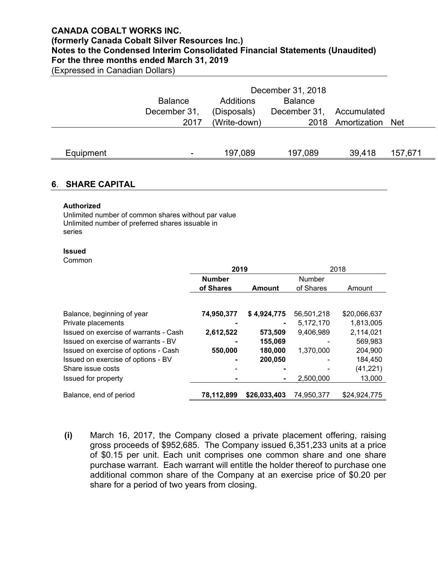#### **CANADA COBALT WORKS INC.**

# **(formerly Canada Cobalt Silver Resources Inc.) Notes to the Condensed Interim Consolidated Financial Statements (Unaudited)**

**For the three months ended March 31, 2019**

(Expressed in Canadian Dollars)

|           | December 31, 2018 |                             |              |                   |         |  |  |
|-----------|-------------------|-----------------------------|--------------|-------------------|---------|--|--|
|           | <b>Balance</b>    | <b>Balance</b><br>Additions |              |                   |         |  |  |
|           | December 31,      | (Disposals)                 | December 31, | Accumulated       |         |  |  |
|           | 2017              | (Write-down)                |              | 2018 Amortization | Net     |  |  |
|           |                   |                             |              |                   |         |  |  |
|           |                   |                             |              |                   |         |  |  |
| Equipment | ٠                 | 197,089                     | 197,089      | 39,418            | 157,671 |  |  |

#### **6**. **SHARE CAPITAL**

#### **Authorized**

Unlimited number of common shares without par value Unlimited number of preferred shares issuable in series

#### **Issued**

Common

|                                       | 2019          |               |            | 2018         |
|---------------------------------------|---------------|---------------|------------|--------------|
|                                       | <b>Number</b> |               | Number     |              |
|                                       | of Shares     | <b>Amount</b> | of Shares  | Amount       |
|                                       |               |               |            |              |
| Balance, beginning of year            | 74,950,377    | \$4,924,775   | 56,501,218 | \$20,066,637 |
| Private placements                    |               |               | 5,172,170  | 1,813,005    |
| Issued on exercise of warrants - Cash | 2,612,522     | 573,509       | 9,406,989  | 2,114,021    |
| Issued on exercise of warrants - BV   |               | 155,069       |            | 569,983      |
| Issued on exercise of options - Cash  | 550,000       | 180,000       | 1,370,000  | 204,900      |
| Issued on exercise of options - BV    |               | 200,050       |            | 184,450      |
| Share issue costs                     |               |               |            | (41, 221)    |
| Issued for property                   |               |               | 2,500,000  | 13,000       |
| Balance, end of period                | 78,112,899    | \$26,033,403  | 74,950,377 | \$24,924,775 |

**(i)** March 16, 2017, the Company closed a private placement offering, raising gross proceeds of \$952,685. The Company issued 6,351,233 units at a price of \$0.15 per unit. Each unit comprises one common share and one share purchase warrant. Each warrant will entitle the holder thereof to purchase one additional common share of the Company at an exercise price of \$0.20 per share for a period of two years from closing.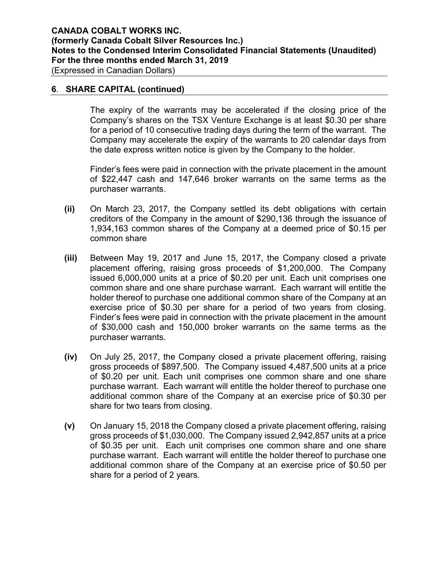(Expressed in Canadian Dollars)

## **6**. **SHARE CAPITAL (continued)**

The expiry of the warrants may be accelerated if the closing price of the Company's shares on the TSX Venture Exchange is at least \$0.30 per share for a period of 10 consecutive trading days during the term of the warrant. The Company may accelerate the expiry of the warrants to 20 calendar days from the date express written notice is given by the Company to the holder.

Finder's fees were paid in connection with the private placement in the amount of \$22,447 cash and 147,646 broker warrants on the same terms as the purchaser warrants.

- **(ii)** On March 23, 2017, the Company settled its debt obligations with certain creditors of the Company in the amount of \$290,136 through the issuance of 1,934,163 common shares of the Company at a deemed price of \$0.15 per common share
- **(iii)** Between May 19, 2017 and June 15, 2017, the Company closed a private placement offering, raising gross proceeds of \$1,200,000. The Company issued 6,000,000 units at a price of \$0.20 per unit. Each unit comprises one common share and one share purchase warrant. Each warrant will entitle the holder thereof to purchase one additional common share of the Company at an exercise price of \$0.30 per share for a period of two years from closing. Finder's fees were paid in connection with the private placement in the amount of \$30,000 cash and 150,000 broker warrants on the same terms as the purchaser warrants.
- **(iv)** On July 25, 2017, the Company closed a private placement offering, raising gross proceeds of \$897,500. The Company issued 4,487,500 units at a price of \$0.20 per unit. Each unit comprises one common share and one share purchase warrant. Each warrant will entitle the holder thereof to purchase one additional common share of the Company at an exercise price of \$0.30 per share for two tears from closing.
- **(v)** On January 15, 2018 the Company closed a private placement offering, raising gross proceeds of \$1,030,000. The Company issued 2,942,857 units at a price of \$0.35 per unit. Each unit comprises one common share and one share purchase warrant. Each warrant will entitle the holder thereof to purchase one additional common share of the Company at an exercise price of \$0.50 per share for a period of 2 years.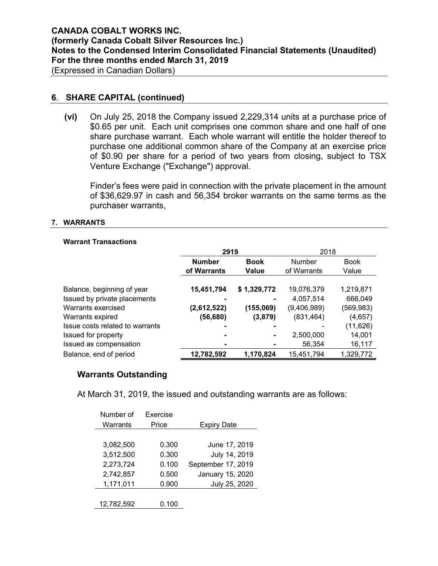#### **6**. **SHARE CAPITAL (continued)**

**(vi)** On July 25, 2018 the Company issued 2,229,314 units at a purchase price of \$0.65 per unit. Each unit comprises one common share and one half of one share purchase warrant. Each whole warrant will entitle the holder thereof to purchase one additional common share of the Company at an exercise price of \$0.90 per share for a period of two years from closing, subject to TSX Venture Exchange ("Exchange") approval.

Finder's fees were paid in connection with the private placement in the amount of \$36,629.97 in cash and 56,354 broker warrants on the same terms as the purchaser warrants,

#### **7. WARRANTS**

#### **Warrant Transactions**

|                                 | 2919          |             | 2018        |             |
|---------------------------------|---------------|-------------|-------------|-------------|
|                                 | <b>Number</b> | <b>Book</b> |             | <b>Book</b> |
|                                 | of Warrants   | Value       | of Warrants | Value       |
|                                 |               |             |             |             |
| Balance, beginning of year      | 15,451,794    | \$1,329,772 | 19,076,379  | 1,219,871   |
| Issued by private placements    |               |             | 4,057,514   | 666,049     |
| Warrants exercised              | (2,612,522)   | (155,069)   | (9,406,989) | (569, 983)  |
| Warrants expired                | (56,680)      | (3, 879)    | (831, 464)  | (4,657)     |
| Issue costs related to warrants |               |             |             | (11, 626)   |
| Issued for property             |               |             | 2,500,000   | 14,001      |
| Issued as compensation          |               |             | 56,354      | 16,117      |
| Balance, end of period          | 12,782,592    | 1,170,824   | 15,451,794  | 1,329,772   |

#### **Warrants Outstanding**

At March 31, 2019, the issued and outstanding warrants are as follows:

| Number of  | Exercise |                    |
|------------|----------|--------------------|
| Warrants   | Price    | <b>Expiry Date</b> |
|            |          |                    |
| 3,082,500  | 0.300    | June 17, 2019      |
| 3,512,500  | 0.300    | July 14, 2019      |
| 2,273,724  | 0.100    | September 17, 2019 |
| 2,742,857  | 0.500    | January 15, 2020   |
| 1,171,011  | 0.900    | July 25, 2020      |
|            |          |                    |
| 12,782,592 | 0.100    |                    |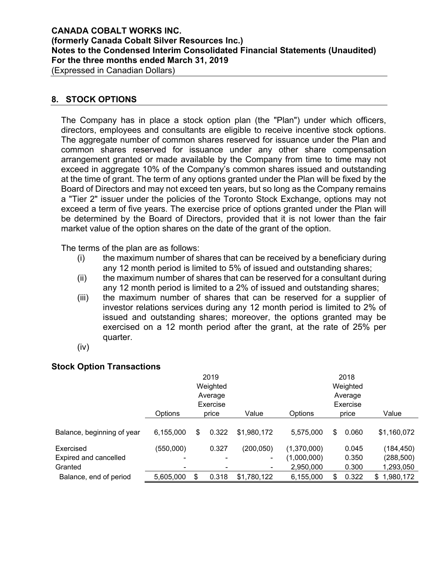# **CANADA COBALT WORKS INC. (formerly Canada Cobalt Silver Resources Inc.) Notes to the Condensed Interim Consolidated Financial Statements (Unaudited) For the three months ended March 31, 2019**

(Expressed in Canadian Dollars)

#### **8. STOCK OPTIONS**

The Company has in place a stock option plan (the "Plan") under which officers, directors, employees and consultants are eligible to receive incentive stock options. The aggregate number of common shares reserved for issuance under the Plan and common shares reserved for issuance under any other share compensation arrangement granted or made available by the Company from time to time may not exceed in aggregate 10% of the Company's common shares issued and outstanding at the time of grant. The term of any options granted under the Plan will be fixed by the Board of Directors and may not exceed ten years, but so long as the Company remains a "Tier 2" issuer under the policies of the Toronto Stock Exchange, options may not exceed a term of five years. The exercise price of options granted under the Plan will be determined by the Board of Directors, provided that it is not lower than the fair market value of the option shares on the date of the grant of the option.

The terms of the plan are as follows:

- (i) the maximum number of shares that can be received by a beneficiary during any 12 month period is limited to 5% of issued and outstanding shares;
- (ii) the maximum number of shares that can be reserved for a consultant during any 12 month period is limited to a 2% of issued and outstanding shares;
- (iii) the maximum number of shares that can be reserved for a supplier of investor relations services during any 12 month period is limited to 2% of issued and outstanding shares; moreover, the options granted may be exercised on a 12 month period after the grant, at the rate of 25% per quarter.
- (iv)

#### **Stock Option Transactions**

|                            | 2019           |    |          |             | 2018           |   |          |                  |  |
|----------------------------|----------------|----|----------|-------------|----------------|---|----------|------------------|--|
|                            |                |    | Weighted |             |                |   | Weighted |                  |  |
|                            |                |    | Average  |             |                |   | Average  |                  |  |
|                            | Exercise       |    |          |             | Exercise       |   |          |                  |  |
|                            | <b>Options</b> |    | price    | Value       | <b>Options</b> |   | price    | Value            |  |
|                            |                |    |          |             |                |   |          |                  |  |
| Balance, beginning of year | 6,155,000      | \$ | 0.322    | \$1,980,172 | 5,575,000      | S | 0.060    | \$1,160,072      |  |
| Exercised                  | (550,000)      |    | 0.327    | (200, 050)  | (1,370,000)    |   | 0.045    | (184, 450)       |  |
| Expired and cancelled      |                |    |          | ۰           | (1,000,000)    |   | 0.350    | (288,500)        |  |
| Granted                    |                |    |          | ٠           | 2,950,000      |   | 0.300    | 1,293,050        |  |
| Balance, end of period     | 5,605,000      | \$ | 0.318    | \$1,780,122 | 6,155,000      | S | 0.322    | 1,980,172<br>\$. |  |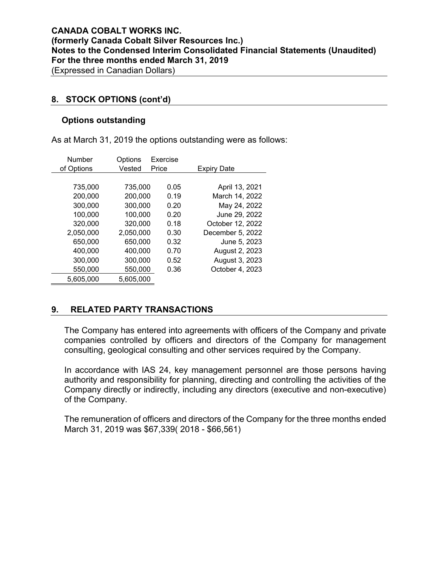#### **8. STOCK OPTIONS (cont'd)**

#### **Options outstanding**

As at March 31, 2019 the options outstanding were as follows:

| <b>Number</b> | Options   | Exercise |                    |
|---------------|-----------|----------|--------------------|
| of Options    | Vested    | Price    | <b>Expiry Date</b> |
|               |           |          |                    |
| 735,000       | 735,000   | 0.05     | April 13, 2021     |
| 200,000       | 200,000   | 0.19     | March 14, 2022     |
| 300,000       | 300,000   | 0.20     | May 24, 2022       |
| 100,000       | 100,000   | 0.20     | June 29, 2022      |
| 320,000       | 320,000   | 0.18     | October 12, 2022   |
| 2,050,000     | 2,050,000 | 0.30     | December 5, 2022   |
| 650,000       | 650,000   | 0.32     | June 5, 2023       |
| 400,000       | 400,000   | 0.70     | August 2, 2023     |
| 300,000       | 300,000   | 0.52     | August 3, 2023     |
| 550,000       | 550,000   | 0.36     | October 4, 2023    |
| 5,605,000     | 5,605,000 |          |                    |

# **9. RELATED PARTY TRANSACTIONS**

The Company has entered into agreements with officers of the Company and private companies controlled by officers and directors of the Company for management consulting, geological consulting and other services required by the Company.

In accordance with IAS 24, key management personnel are those persons having authority and responsibility for planning, directing and controlling the activities of the Company directly or indirectly, including any directors (executive and non-executive) of the Company.

The remuneration of officers and directors of the Company for the three months ended March 31, 2019 was \$67,339( 2018 - \$66,561)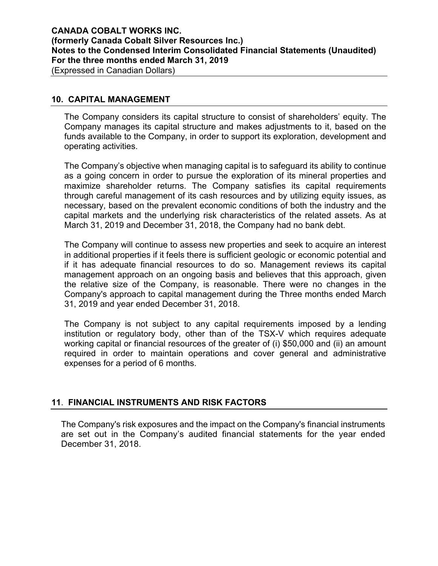#### **10. CAPITAL MANAGEMENT**

The Company considers its capital structure to consist of shareholders' equity. The Company manages its capital structure and makes adjustments to it, based on the funds available to the Company, in order to support its exploration, development and operating activities.

The Company's objective when managing capital is to safeguard its ability to continue as a going concern in order to pursue the exploration of its mineral properties and maximize shareholder returns. The Company satisfies its capital requirements through careful management of its cash resources and by utilizing equity issues, as necessary, based on the prevalent economic conditions of both the industry and the capital markets and the underlying risk characteristics of the related assets. As at March 31, 2019 and December 31, 2018, the Company had no bank debt.

The Company will continue to assess new properties and seek to acquire an interest in additional properties if it feels there is sufficient geologic or economic potential and if it has adequate financial resources to do so. Management reviews its capital management approach on an ongoing basis and believes that this approach, given the relative size of the Company, is reasonable. There were no changes in the Company's approach to capital management during the Three months ended March 31, 2019 and year ended December 31, 2018.

The Company is not subject to any capital requirements imposed by a lending institution or regulatory body, other than of the TSX-V which requires adequate working capital or financial resources of the greater of (i) \$50,000 and (ii) an amount required in order to maintain operations and cover general and administrative expenses for a period of 6 months.

# **11**. **FINANCIAL INSTRUMENTS AND RISK FACTORS**

The Company's risk exposures and the impact on the Company's financial instruments are set out in the Company's audited financial statements for the year ended December 31, 2018.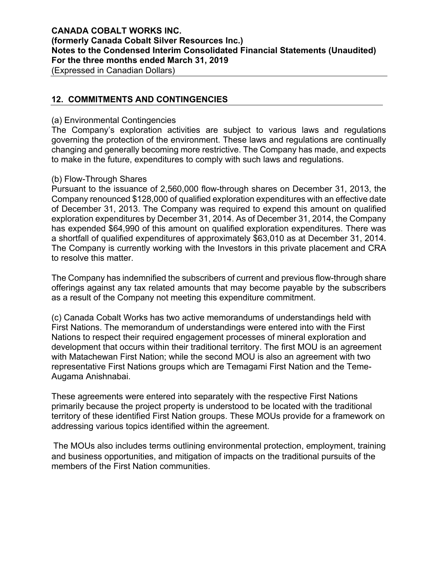# **CANADA COBALT WORKS INC. (formerly Canada Cobalt Silver Resources Inc.) Notes to the Condensed Interim Consolidated Financial Statements (Unaudited) For the three months ended March 31, 2019**

(Expressed in Canadian Dollars)

# **12. COMMITMENTS AND CONTINGENCIES**

#### (a) Environmental Contingencies

The Company's exploration activities are subject to various laws and regulations governing the protection of the environment. These laws and regulations are continually changing and generally becoming more restrictive. The Company has made, and expects to make in the future, expenditures to comply with such laws and regulations.

#### (b) Flow-Through Shares

Pursuant to the issuance of 2,560,000 flow-through shares on December 31, 2013, the Company renounced \$128,000 of qualified exploration expenditures with an effective date of December 31, 2013. The Company was required to expend this amount on qualified exploration expenditures by December 31, 2014. As of December 31, 2014, the Company has expended \$64,990 of this amount on qualified exploration expenditures. There was a shortfall of qualified expenditures of approximately \$63,010 as at December 31, 2014. The Company is currently working with the Investors in this private placement and CRA to resolve this matter.

The Company has indemnified the subscribers of current and previous flow-through share offerings against any tax related amounts that may become payable by the subscribers as a result of the Company not meeting this expenditure commitment.

(c) Canada Cobalt Works has two active memorandums of understandings held with First Nations. The memorandum of understandings were entered into with the First Nations to respect their required engagement processes of mineral exploration and development that occurs within their traditional territory. The first MOU is an agreement with Matachewan First Nation; while the second MOU is also an agreement with two representative First Nations groups which are Temagami First Nation and the Teme-Augama Anishnabai.

These agreements were entered into separately with the respective First Nations primarily because the project property is understood to be located with the traditional territory of these identified First Nation groups. These MOUs provide for a framework on addressing various topics identified within the agreement.

The MOUs also includes terms outlining environmental protection, employment, training and business opportunities, and mitigation of impacts on the traditional pursuits of the members of the First Nation communities.